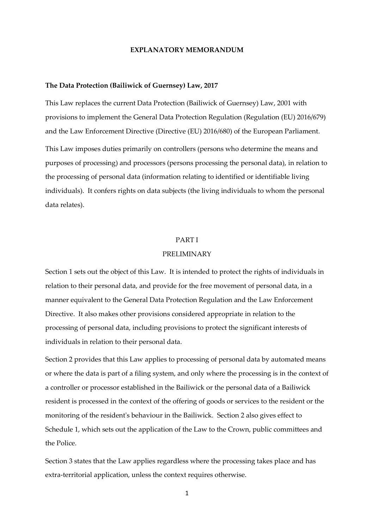## **EXPLANATORY MEMORANDUM**

#### **The Data Protection (Bailiwick of Guernsey) Law, 2017**

This Law replaces the current Data Protection (Bailiwick of Guernsey) Law, 2001 with provisions to implement the General Data Protection Regulation (Regulation (EU) 2016/679) and the Law Enforcement Directive (Directive (EU) 2016/680) of the European Parliament. This Law imposes duties primarily on controllers (persons who determine the means and purposes of processing) and processors (persons processing the personal data), in relation to the processing of personal data (information relating to identified or identifiable living individuals). It confers rights on data subjects (the living individuals to whom the personal data relates).

## PART I

# PRELIMINARY

Section 1 sets out the object of this Law. It is intended to protect the rights of individuals in relation to their personal data, and provide for the free movement of personal data, in a manner equivalent to the General Data Protection Regulation and the Law Enforcement Directive. It also makes other provisions considered appropriate in relation to the processing of personal data, including provisions to protect the significant interests of individuals in relation to their personal data.

Section 2 provides that this Law applies to processing of personal data by automated means or where the data is part of a filing system, and only where the processing is in the context of a controller or processor established in the Bailiwick or the personal data of a Bailiwick resident is processed in the context of the offering of goods or services to the resident or the monitoring of the resident's behaviour in the Bailiwick. Section 2 also gives effect to Schedule 1, which sets out the application of the Law to the Crown, public committees and the Police.

Section 3 states that the Law applies regardless where the processing takes place and has extra-territorial application, unless the context requires otherwise.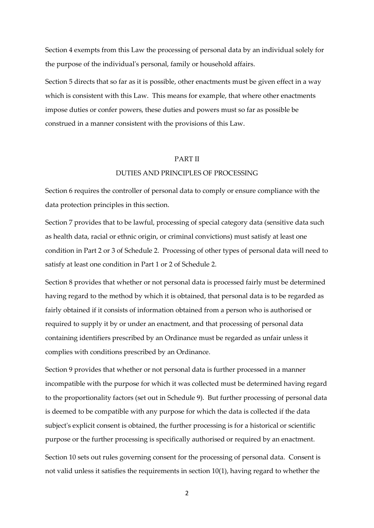Section 4 exempts from this Law the processing of personal data by an individual solely for the purpose of the individual's personal, family or household affairs.

Section 5 directs that so far as it is possible, other enactments must be given effect in a way which is consistent with this Law. This means for example, that where other enactments impose duties or confer powers, these duties and powers must so far as possible be construed in a manner consistent with the provisions of this Law.

## PART II

## DUTIES AND PRINCIPLES OF PROCESSING

Section 6 requires the controller of personal data to comply or ensure compliance with the data protection principles in this section.

Section 7 provides that to be lawful, processing of special category data (sensitive data such as health data, racial or ethnic origin, or criminal convictions) must satisfy at least one condition in Part 2 or 3 of Schedule 2. Processing of other types of personal data will need to satisfy at least one condition in Part 1 or 2 of Schedule 2.

Section 8 provides that whether or not personal data is processed fairly must be determined having regard to the method by which it is obtained, that personal data is to be regarded as fairly obtained if it consists of information obtained from a person who is authorised or required to supply it by or under an enactment, and that processing of personal data containing identifiers prescribed by an Ordinance must be regarded as unfair unless it complies with conditions prescribed by an Ordinance.

Section 9 provides that whether or not personal data is further processed in a manner incompatible with the purpose for which it was collected must be determined having regard to the proportionality factors (set out in Schedule 9). But further processing of personal data is deemed to be compatible with any purpose for which the data is collected if the data subject's explicit consent is obtained, the further processing is for a historical or scientific purpose or the further processing is specifically authorised or required by an enactment. Section 10 sets out rules governing consent for the processing of personal data. Consent is not valid unless it satisfies the requirements in section 10(1), having regard to whether the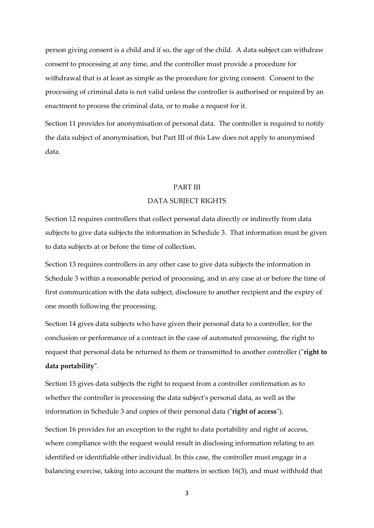person giving consent is a child and if so, the age of the child. A data subject can withdraw consent to processing at any time, and the controller must provide a procedure for withdrawal that is at least as simple as the procedure for giving consent. Consent to the processing of criminal data is not valid unless the controller is authorised or required by an enactment to process the criminal data, or to make a request for it.

Section 11 provides for anonymisation of personal data. The controller is required to notify the data subject of anonymisation, but Part III of this Law does not apply to anonymised data.

#### PART III

#### DATA SUBJECT RIGHTS

Section 12 requires controllers that collect personal data directly or indirectly from data subjects to give data subjects the information in Schedule 3. That information must be given to data subjects at or before the time of collection.

Section 13 requires controllers in any other case to give data subjects the information in Schedule 3 within a reasonable period of processing, and in any case at or before the time of first communication with the data subject, disclosure to another recipient and the expiry of one month following the processing.

Section 14 gives data subjects who have given their personal data to a controller, for the conclusion or performance of a contract in the case of automated processing, the right to request that personal data be returned to them or transmitted to another controller ("**right to data portability"**.

Section 15 gives data subjects the right to request from a controller confirmation as to whether the controller is processing the data subject's personal data, as well as the information in Schedule 3 and copies of their personal data ("**right of access**").

Section 16 provides for an exception to the right to data portability and right of access, where compliance with the request would result in disclosing information relating to an identified or identifiable other individual. In this case, the controller must engage in a balancing exercise, taking into account the matters in section 16(3), and must withhold that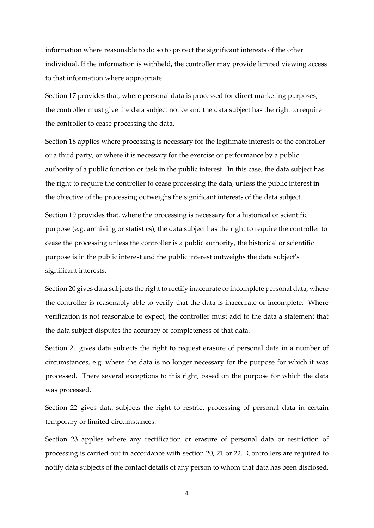information where reasonable to do so to protect the significant interests of the other individual. If the information is withheld, the controller may provide limited viewing access to that information where appropriate.

Section 17 provides that, where personal data is processed for direct marketing purposes, the controller must give the data subject notice and the data subject has the right to require the controller to cease processing the data.

Section 18 applies where processing is necessary for the legitimate interests of the controller or a third party, or where it is necessary for the exercise or performance by a public authority of a public function or task in the public interest. In this case, the data subject has the right to require the controller to cease processing the data, unless the public interest in the objective of the processing outweighs the significant interests of the data subject.

Section 19 provides that, where the processing is necessary for a historical or scientific purpose (e.g. archiving or statistics), the data subject has the right to require the controller to cease the processing unless the controller is a public authority, the historical or scientific purpose is in the public interest and the public interest outweighs the data subject's significant interests.

Section 20 gives data subjects the right to rectify inaccurate or incomplete personal data, where the controller is reasonably able to verify that the data is inaccurate or incomplete. Where verification is not reasonable to expect, the controller must add to the data a statement that the data subject disputes the accuracy or completeness of that data.

Section 21 gives data subjects the right to request erasure of personal data in a number of circumstances, e.g. where the data is no longer necessary for the purpose for which it was processed. There several exceptions to this right, based on the purpose for which the data was processed.

Section 22 gives data subjects the right to restrict processing of personal data in certain temporary or limited circumstances.

Section 23 applies where any rectification or erasure of personal data or restriction of processing is carried out in accordance with section 20, 21 or 22. Controllers are required to notify data subjects of the contact details of any person to whom that data has been disclosed,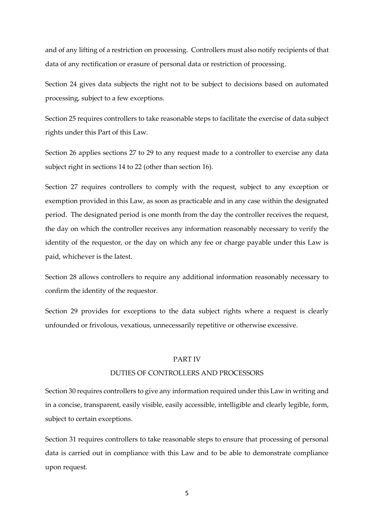and of any lifting of a restriction on processing. Controllers must also notify recipients of that data of any rectification or erasure of personal data or restriction of processing.

Section 24 gives data subjects the right not to be subject to decisions based on automated processing, subject to a few exceptions.

Section 25 requires controllers to take reasonable steps to facilitate the exercise of data subject rights under this Part of this Law.

Section 26 applies sections 27 to 29 to any request made to a controller to exercise any data subject right in sections 14 to 22 (other than section 16).

Section 27 requires controllers to comply with the request, subject to any exception or exemption provided in this Law, as soon as practicable and in any case within the designated period. The designated period is one month from the day the controller receives the request, the day on which the controller receives any information reasonably necessary to verify the identity of the requestor, or the day on which any fee or charge payable under this Law is paid, whichever is the latest.

Section 28 allows controllers to require any additional information reasonably necessary to confirm the identity of the requestor.

Section 29 provides for exceptions to the data subject rights where a request is clearly unfounded or frivolous, vexatious, unnecessarily repetitive or otherwise excessive.

#### PART IV

# DUTIES OF CONTROLLERS AND PROCESSORS

Section 30 requires controllers to give any information required under this Law in writing and in a concise, transparent, easily visible, easily accessible, intelligible and clearly legible, form, subject to certain exceptions.

Section 31 requires controllers to take reasonable steps to ensure that processing of personal data is carried out in compliance with this Law and to be able to demonstrate compliance upon request.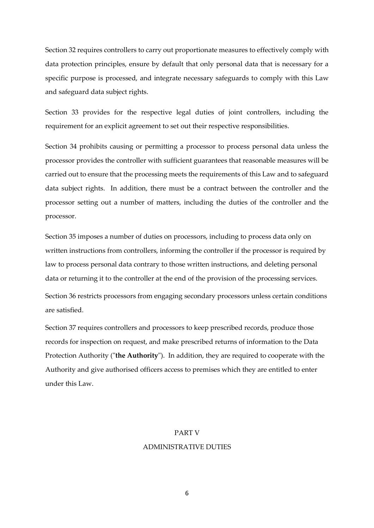Section 32 requires controllers to carry out proportionate measures to effectively comply with data protection principles, ensure by default that only personal data that is necessary for a specific purpose is processed, and integrate necessary safeguards to comply with this Law and safeguard data subject rights.

Section 33 provides for the respective legal duties of joint controllers, including the requirement for an explicit agreement to set out their respective responsibilities.

Section 34 prohibits causing or permitting a processor to process personal data unless the processor provides the controller with sufficient guarantees that reasonable measures will be carried out to ensure that the processing meets the requirements of this Law and to safeguard data subject rights. In addition, there must be a contract between the controller and the processor setting out a number of matters, including the duties of the controller and the processor.

Section 35 imposes a number of duties on processors, including to process data only on written instructions from controllers, informing the controller if the processor is required by law to process personal data contrary to those written instructions, and deleting personal data or returning it to the controller at the end of the provision of the processing services.

Section 36 restricts processors from engaging secondary processors unless certain conditions are satisfied.

Section 37 requires controllers and processors to keep prescribed records, produce those records for inspection on request, and make prescribed returns of information to the Data Protection Authority ("**the Authority**"). In addition, they are required to cooperate with the Authority and give authorised officers access to premises which they are entitled to enter under this Law.

#### PART V

## ADMINISTRATIVE DUTIES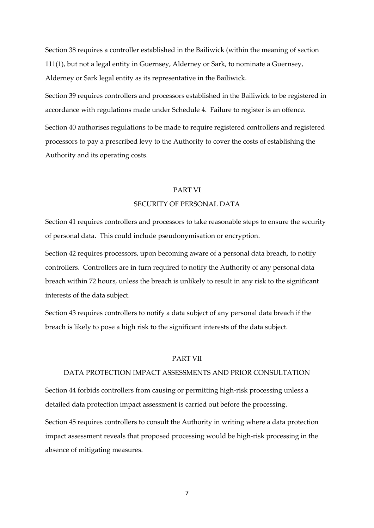Section 38 requires a controller established in the Bailiwick (within the meaning of section 111(1), but not a legal entity in Guernsey, Alderney or Sark, to nominate a Guernsey, Alderney or Sark legal entity as its representative in the Bailiwick.

Section 39 requires controllers and processors established in the Bailiwick to be registered in accordance with regulations made under Schedule 4. Failure to register is an offence.

Section 40 authorises regulations to be made to require registered controllers and registered processors to pay a prescribed levy to the Authority to cover the costs of establishing the Authority and its operating costs.

# PART VI

#### SECURITY OF PERSONAL DATA

Section 41 requires controllers and processors to take reasonable steps to ensure the security of personal data. This could include pseudonymisation or encryption.

Section 42 requires processors, upon becoming aware of a personal data breach, to notify controllers. Controllers are in turn required to notify the Authority of any personal data breach within 72 hours, unless the breach is unlikely to result in any risk to the significant interests of the data subject.

Section 43 requires controllers to notify a data subject of any personal data breach if the breach is likely to pose a high risk to the significant interests of the data subject.

#### PART VII

## DATA PROTECTION IMPACT ASSESSMENTS AND PRIOR CONSULTATION

Section 44 forbids controllers from causing or permitting high-risk processing unless a detailed data protection impact assessment is carried out before the processing.

Section 45 requires controllers to consult the Authority in writing where a data protection impact assessment reveals that proposed processing would be high-risk processing in the absence of mitigating measures.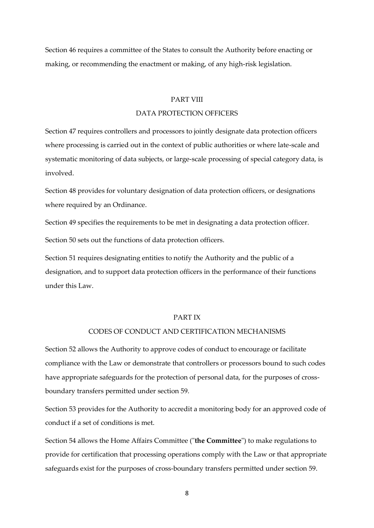Section 46 requires a committee of the States to consult the Authority before enacting or making, or recommending the enactment or making, of any high-risk legislation.

## PART VIII

# DATA PROTECTION OFFICERS

Section 47 requires controllers and processors to jointly designate data protection officers where processing is carried out in the context of public authorities or where late-scale and systematic monitoring of data subjects, or large-scale processing of special category data, is involved.

Section 48 provides for voluntary designation of data protection officers, or designations where required by an Ordinance.

Section 49 specifies the requirements to be met in designating a data protection officer.

Section 50 sets out the functions of data protection officers.

Section 51 requires designating entities to notify the Authority and the public of a designation, and to support data protection officers in the performance of their functions under this Law.

#### PART IX

# CODES OF CONDUCT AND CERTIFICATION MECHANISMS

Section 52 allows the Authority to approve codes of conduct to encourage or facilitate compliance with the Law or demonstrate that controllers or processors bound to such codes have appropriate safeguards for the protection of personal data, for the purposes of crossboundary transfers permitted under section 59.

Section 53 provides for the Authority to accredit a monitoring body for an approved code of conduct if a set of conditions is met.

Section 54 allows the Home Affairs Committee ("**the Committee**") to make regulations to provide for certification that processing operations comply with the Law or that appropriate safeguards exist for the purposes of cross-boundary transfers permitted under section 59.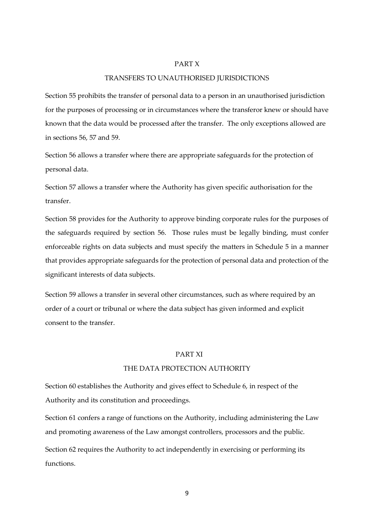#### PART X

#### TRANSFERS TO UNAUTHORISED JURISDICTIONS

Section 55 prohibits the transfer of personal data to a person in an unauthorised jurisdiction for the purposes of processing or in circumstances where the transferor knew or should have known that the data would be processed after the transfer. The only exceptions allowed are in sections 56, 57 and 59.

Section 56 allows a transfer where there are appropriate safeguards for the protection of personal data.

Section 57 allows a transfer where the Authority has given specific authorisation for the transfer.

Section 58 provides for the Authority to approve binding corporate rules for the purposes of the safeguards required by section 56. Those rules must be legally binding, must confer enforceable rights on data subjects and must specify the matters in Schedule 5 in a manner that provides appropriate safeguards for the protection of personal data and protection of the significant interests of data subjects.

Section 59 allows a transfer in several other circumstances, such as where required by an order of a court or tribunal or where the data subject has given informed and explicit consent to the transfer.

## PART XI

# THE DATA PROTECTION AUTHORITY

Section 60 establishes the Authority and gives effect to Schedule 6, in respect of the Authority and its constitution and proceedings.

Section 61 confers a range of functions on the Authority, including administering the Law and promoting awareness of the Law amongst controllers, processors and the public. Section 62 requires the Authority to act independently in exercising or performing its functions.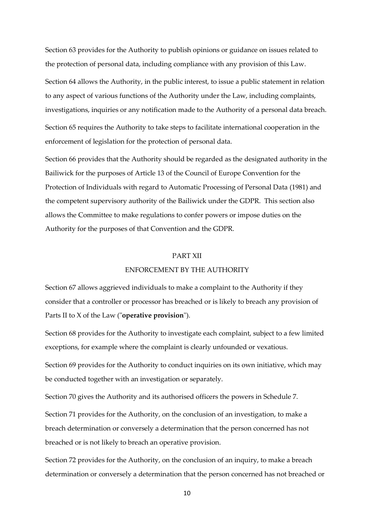Section 63 provides for the Authority to publish opinions or guidance on issues related to the protection of personal data, including compliance with any provision of this Law.

Section 64 allows the Authority, in the public interest, to issue a public statement in relation to any aspect of various functions of the Authority under the Law, including complaints, investigations, inquiries or any notification made to the Authority of a personal data breach.

Section 65 requires the Authority to take steps to facilitate international cooperation in the enforcement of legislation for the protection of personal data.

Section 66 provides that the Authority should be regarded as the designated authority in the Bailiwick for the purposes of Article 13 of the Council of Europe Convention for the Protection of Individuals with regard to Automatic Processing of Personal Data (1981) and the competent supervisory authority of the Bailiwick under the GDPR. This section also allows the Committee to make regulations to confer powers or impose duties on the Authority for the purposes of that Convention and the GDPR.

# PART XII

# ENFORCEMENT BY THE AUTHORITY

Section 67 allows aggrieved individuals to make a complaint to the Authority if they consider that a controller or processor has breached or is likely to breach any provision of Parts II to X of the Law ("**operative provision**").

Section 68 provides for the Authority to investigate each complaint, subject to a few limited exceptions, for example where the complaint is clearly unfounded or vexatious.

Section 69 provides for the Authority to conduct inquiries on its own initiative, which may be conducted together with an investigation or separately.

Section 70 gives the Authority and its authorised officers the powers in Schedule 7.

Section 71 provides for the Authority, on the conclusion of an investigation, to make a breach determination or conversely a determination that the person concerned has not breached or is not likely to breach an operative provision.

Section 72 provides for the Authority, on the conclusion of an inquiry, to make a breach determination or conversely a determination that the person concerned has not breached or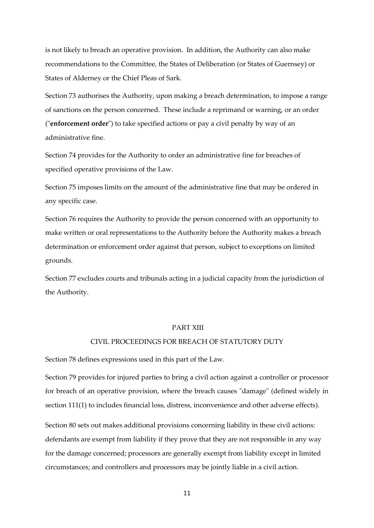is not likely to breach an operative provision. In addition, the Authority can also make recommendations to the Committee, the States of Deliberation (or States of Guernsey) or States of Alderney or the Chief Pleas of Sark.

Section 73 authorises the Authority, upon making a breach determination, to impose a range of sanctions on the person concerned. These include a reprimand or warning, or an order ("**enforcement order**") to take specified actions or pay a civil penalty by way of an administrative fine.

Section 74 provides for the Authority to order an administrative fine for breaches of specified operative provisions of the Law.

Section 75 imposes limits on the amount of the administrative fine that may be ordered in any specific case.

Section 76 requires the Authority to provide the person concerned with an opportunity to make written or oral representations to the Authority before the Authority makes a breach determination or enforcement order against that person, subject to exceptions on limited grounds.

Section 77 excludes courts and tribunals acting in a judicial capacity from the jurisdiction of the Authority.

#### PART XIII

## CIVIL PROCEEDINGS FOR BREACH OF STATUTORY DUTY

Section 78 defines expressions used in this part of the Law.

Section 79 provides for injured parties to bring a civil action against a controller or processor for breach of an operative provision, where the breach causes "damage" (defined widely in section 111(1) to includes financial loss, distress, inconvenience and other adverse effects).

Section 80 sets out makes additional provisions concerning liability in these civil actions: defendants are exempt from liability if they prove that they are not responsible in any way for the damage concerned; processors are generally exempt from liability except in limited circumstances; and controllers and processors may be jointly liable in a civil action.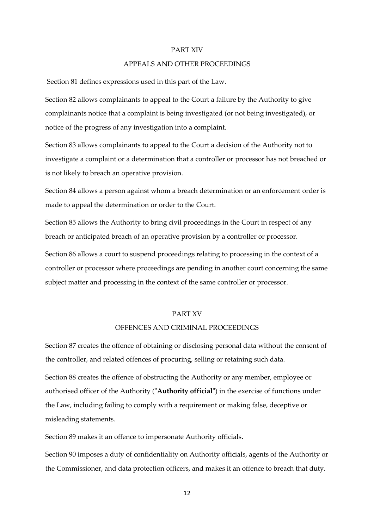#### PART XIV

## APPEALS AND OTHER PROCEEDINGS

Section 81 defines expressions used in this part of the Law.

Section 82 allows complainants to appeal to the Court a failure by the Authority to give complainants notice that a complaint is being investigated (or not being investigated), or notice of the progress of any investigation into a complaint.

Section 83 allows complainants to appeal to the Court a decision of the Authority not to investigate a complaint or a determination that a controller or processor has not breached or is not likely to breach an operative provision.

Section 84 allows a person against whom a breach determination or an enforcement order is made to appeal the determination or order to the Court.

Section 85 allows the Authority to bring civil proceedings in the Court in respect of any breach or anticipated breach of an operative provision by a controller or processor.

Section 86 allows a court to suspend proceedings relating to processing in the context of a controller or processor where proceedings are pending in another court concerning the same subject matter and processing in the context of the same controller or processor.

## PART XV

## OFFENCES AND CRIMINAL PROCEEDINGS

Section 87 creates the offence of obtaining or disclosing personal data without the consent of the controller, and related offences of procuring, selling or retaining such data.

Section 88 creates the offence of obstructing the Authority or any member, employee or authorised officer of the Authority ("**Authority official**") in the exercise of functions under the Law, including failing to comply with a requirement or making false, deceptive or misleading statements.

Section 89 makes it an offence to impersonate Authority officials.

Section 90 imposes a duty of confidentiality on Authority officials, agents of the Authority or the Commissioner, and data protection officers, and makes it an offence to breach that duty.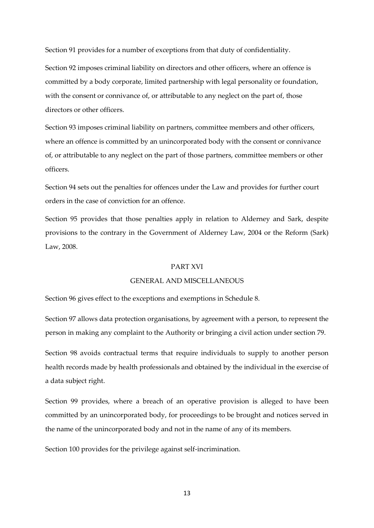Section 91 provides for a number of exceptions from that duty of confidentiality.

Section 92 imposes criminal liability on directors and other officers, where an offence is committed by a body corporate, limited partnership with legal personality or foundation, with the consent or connivance of, or attributable to any neglect on the part of, those directors or other officers.

Section 93 imposes criminal liability on partners, committee members and other officers, where an offence is committed by an unincorporated body with the consent or connivance of, or attributable to any neglect on the part of those partners, committee members or other officers.

Section 94 sets out the penalties for offences under the Law and provides for further court orders in the case of conviction for an offence.

Section 95 provides that those penalties apply in relation to Alderney and Sark, despite provisions to the contrary in the Government of Alderney Law, 2004 or the Reform (Sark) Law, 2008.

# PART XVI

# GENERAL AND MISCELLANEOUS

Section 96 gives effect to the exceptions and exemptions in Schedule 8.

Section 97 allows data protection organisations, by agreement with a person, to represent the person in making any complaint to the Authority or bringing a civil action under section 79.

Section 98 avoids contractual terms that require individuals to supply to another person health records made by health professionals and obtained by the individual in the exercise of a data subject right.

Section 99 provides, where a breach of an operative provision is alleged to have been committed by an unincorporated body, for proceedings to be brought and notices served in the name of the unincorporated body and not in the name of any of its members.

Section 100 provides for the privilege against self-incrimination.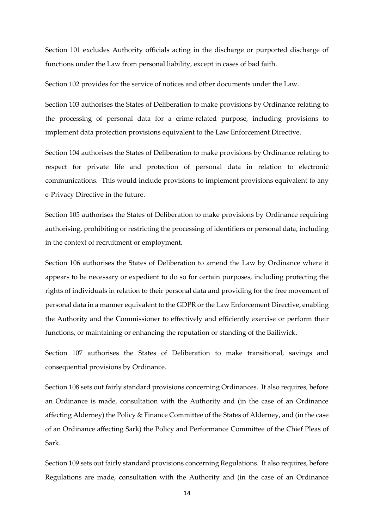Section 101 excludes Authority officials acting in the discharge or purported discharge of functions under the Law from personal liability, except in cases of bad faith.

Section 102 provides for the service of notices and other documents under the Law.

Section 103 authorises the States of Deliberation to make provisions by Ordinance relating to the processing of personal data for a crime-related purpose, including provisions to implement data protection provisions equivalent to the Law Enforcement Directive.

Section 104 authorises the States of Deliberation to make provisions by Ordinance relating to respect for private life and protection of personal data in relation to electronic communications. This would include provisions to implement provisions equivalent to any e-Privacy Directive in the future.

Section 105 authorises the States of Deliberation to make provisions by Ordinance requiring authorising, prohibiting or restricting the processing of identifiers or personal data, including in the context of recruitment or employment.

Section 106 authorises the States of Deliberation to amend the Law by Ordinance where it appears to be necessary or expedient to do so for certain purposes, including protecting the rights of individuals in relation to their personal data and providing for the free movement of personal data in a manner equivalent to the GDPR or the Law Enforcement Directive, enabling the Authority and the Commissioner to effectively and efficiently exercise or perform their functions, or maintaining or enhancing the reputation or standing of the Bailiwick.

Section 107 authorises the States of Deliberation to make transitional, savings and consequential provisions by Ordinance.

Section 108 sets out fairly standard provisions concerning Ordinances. It also requires, before an Ordinance is made, consultation with the Authority and (in the case of an Ordinance affecting Alderney) the Policy & Finance Committee of the States of Alderney, and (in the case of an Ordinance affecting Sark) the Policy and Performance Committee of the Chief Pleas of Sark.

Section 109 sets out fairly standard provisions concerning Regulations. It also requires, before Regulations are made, consultation with the Authority and (in the case of an Ordinance